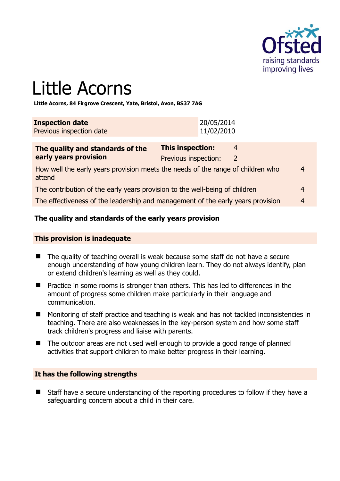

# Little Acorns

**Little Acorns, 84 Firgrove Crescent, Yate, Bristol, Avon, BS37 7AG** 

| <b>Inspection date</b>   | 20/05/2014 |
|--------------------------|------------|
| Previous inspection date | 11/02/2010 |

| The quality and standards of the                                                          | This inspection:     | 4            |   |
|-------------------------------------------------------------------------------------------|----------------------|--------------|---|
| early years provision                                                                     | Previous inspection: | <sup>2</sup> |   |
| How well the early years provision meets the needs of the range of children who<br>attend |                      |              | 4 |
| The contribution of the early years provision to the well-being of children               |                      |              | 4 |
| The effectiveness of the leadership and management of the early years provision           |                      |              | 4 |

#### **The quality and standards of the early years provision**

#### **This provision is inadequate**

- The quality of teaching overall is weak because some staff do not have a secure enough understanding of how young children learn. They do not always identify, plan or extend children's learning as well as they could.
- **Practice in some rooms is stronger than others. This has led to differences in the** amount of progress some children make particularly in their language and communication.
- Monitoring of staff practice and teaching is weak and has not tackled inconsistencies in teaching. There are also weaknesses in the key-person system and how some staff track children's progress and liaise with parents.
- The outdoor areas are not used well enough to provide a good range of planned activities that support children to make better progress in their learning.

#### **It has the following strengths**

■ Staff have a secure understanding of the reporting procedures to follow if they have a safeguarding concern about a child in their care.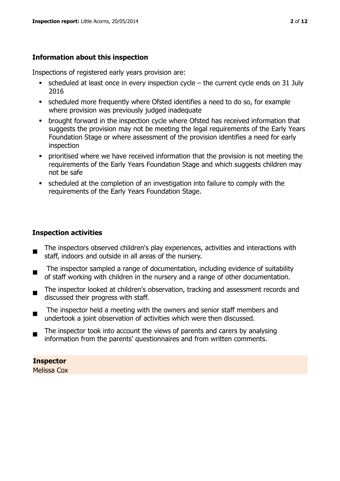#### **Information about this inspection**

Inspections of registered early years provision are:

- scheduled at least once in every inspection cycle the current cycle ends on 31 July 2016
- scheduled more frequently where Ofsted identifies a need to do so, for example where provision was previously judged inadequate
- **•** brought forward in the inspection cycle where Ofsted has received information that suggests the provision may not be meeting the legal requirements of the Early Years Foundation Stage or where assessment of the provision identifies a need for early inspection
- **•** prioritised where we have received information that the provision is not meeting the requirements of the Early Years Foundation Stage and which suggests children may not be safe
- scheduled at the completion of an investigation into failure to comply with the requirements of the Early Years Foundation Stage.

#### **Inspection activities**

- $\blacksquare$ The inspectors observed children's play experiences, activities and interactions with staff, indoors and outside in all areas of the nursery.
- The inspector sampled a range of documentation, including evidence of suitability of staff working with children in the nursery and a range of other documentation.
- $\blacksquare$ The inspector looked at children's observation, tracking and assessment records and discussed their progress with staff.
- The inspector held a meeting with the owners and senior staff members and undertook a joint observation of activities which were then discussed.
- $\blacksquare$ The inspector took into account the views of parents and carers by analysing information from the parents' questionnaires and from written comments.

## **Inspector**

Melissa Cox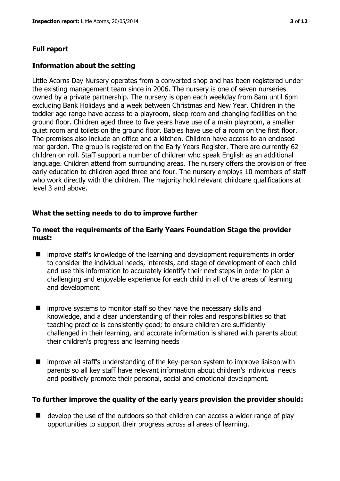#### **Full report**

#### **Information about the setting**

Little Acorns Day Nursery operates from a converted shop and has been registered under the existing management team since in 2006. The nursery is one of seven nurseries owned by a private partnership. The nursery is open each weekday from 8am until 6pm excluding Bank Holidays and a week between Christmas and New Year. Children in the toddler age range have access to a playroom, sleep room and changing facilities on the ground floor. Children aged three to five years have use of a main playroom, a smaller quiet room and toilets on the ground floor. Babies have use of a room on the first floor. The premises also include an office and a kitchen. Children have access to an enclosed rear garden. The group is registered on the Early Years Register. There are currently 62 children on roll. Staff support a number of children who speak English as an additional language. Children attend from surrounding areas. The nursery offers the provision of free early education to children aged three and four. The nursery employs 10 members of staff who work directly with the children. The majority hold relevant childcare qualifications at level 3 and above.

#### **What the setting needs to do to improve further**

#### **To meet the requirements of the Early Years Foundation Stage the provider must:**

- improve staff's knowledge of the learning and development requirements in order to consider the individual needs, interests, and stage of development of each child and use this information to accurately identify their next steps in order to plan a challenging and enjoyable experience for each child in all of the areas of learning and development
- $\blacksquare$  improve systems to monitor staff so they have the necessary skills and knowledge, and a clear understanding of their roles and responsibilities so that teaching practice is consistently good; to ensure children are sufficiently challenged in their learning, and accurate information is shared with parents about their children's progress and learning needs
- improve all staff's understanding of the key-person system to improve liaison with parents so all key staff have relevant information about children's individual needs and positively promote their personal, social and emotional development.

#### **To further improve the quality of the early years provision the provider should:**

 $\blacksquare$  develop the use of the outdoors so that children can access a wider range of play opportunities to support their progress across all areas of learning.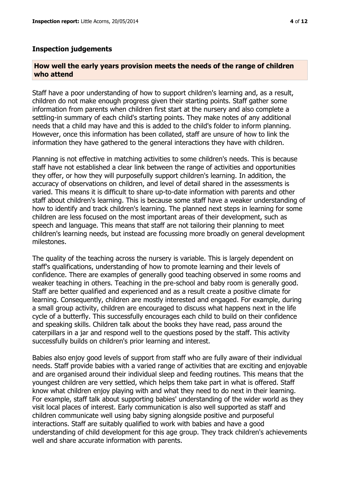#### **How well the early years provision meets the needs of the range of children who attend**

Staff have a poor understanding of how to support children's learning and, as a result, children do not make enough progress given their starting points. Staff gather some information from parents when children first start at the nursery and also complete a settling-in summary of each child's starting points. They make notes of any additional needs that a child may have and this is added to the child's folder to inform planning. However, once this information has been collated, staff are unsure of how to link the information they have gathered to the general interactions they have with children.

Planning is not effective in matching activities to some children's needs. This is because staff have not established a clear link between the range of activities and opportunities they offer, or how they will purposefully support children's learning. In addition, the accuracy of observations on children, and level of detail shared in the assessments is varied. This means it is difficult to share up-to-date information with parents and other staff about children's learning. This is because some staff have a weaker understanding of how to identify and track children's learning. The planned next steps in learning for some children are less focused on the most important areas of their development, such as speech and language. This means that staff are not tailoring their planning to meet children's learning needs, but instead are focussing more broadly on general development milestones.

The quality of the teaching across the nursery is variable. This is largely dependent on staff's qualifications, understanding of how to promote learning and their levels of confidence. There are examples of generally good teaching observed in some rooms and weaker teaching in others. Teaching in the pre-school and baby room is generally good. Staff are better qualified and experienced and as a result create a positive climate for learning. Consequently, children are mostly interested and engaged. For example, during a small group activity, children are encouraged to discuss what happens next in the life cycle of a butterfly. This successfully encourages each child to build on their confidence and speaking skills. Children talk about the books they have read, pass around the caterpillars in a jar and respond well to the questions posed by the staff. This activity successfully builds on children's prior learning and interest.

Babies also enjoy good levels of support from staff who are fully aware of their individual needs. Staff provide babies with a varied range of activities that are exciting and enjoyable and are organised around their individual sleep and feeding routines. This means that the youngest children are very settled, which helps them take part in what is offered. Staff know what children enjoy playing with and what they need to do next in their learning. For example, staff talk about supporting babies' understanding of the wider world as they visit local places of interest. Early communication is also well supported as staff and children communicate well using baby signing alongside positive and purposeful interactions. Staff are suitably qualified to work with babies and have a good understanding of child development for this age group. They track children's achievements well and share accurate information with parents.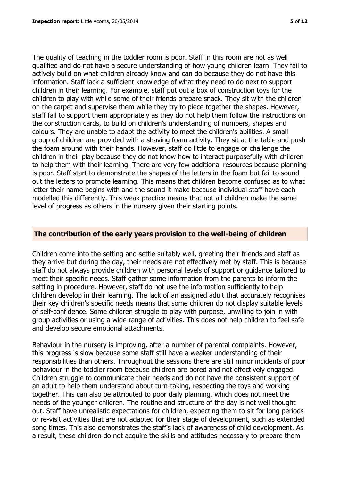The quality of teaching in the toddler room is poor. Staff in this room are not as well qualified and do not have a secure understanding of how young children learn. They fail to actively build on what children already know and can do because they do not have this information. Staff lack a sufficient knowledge of what they need to do next to support children in their learning. For example, staff put out a box of construction toys for the children to play with while some of their friends prepare snack. They sit with the children on the carpet and supervise them while they try to piece together the shapes. However, staff fail to support them appropriately as they do not help them follow the instructions on the construction cards, to build on children's understanding of numbers, shapes and colours. They are unable to adapt the activity to meet the children's abilities. A small group of children are provided with a shaving foam activity. They sit at the table and push the foam around with their hands. However, staff do little to engage or challenge the children in their play because they do not know how to interact purposefully with children to help them with their learning. There are very few additional resources because planning is poor. Staff start to demonstrate the shapes of the letters in the foam but fail to sound out the letters to promote learning. This means that children become confused as to what letter their name begins with and the sound it make because individual staff have each modelled this differently. This weak practice means that not all children make the same level of progress as others in the nursery given their starting points.

#### **The contribution of the early years provision to the well-being of children**

Children come into the setting and settle suitably well, greeting their friends and staff as they arrive but during the day, their needs are not effectively met by staff. This is because staff do not always provide children with personal levels of support or guidance tailored to meet their specific needs. Staff gather some information from the parents to inform the settling in procedure. However, staff do not use the information sufficiently to help children develop in their learning. The lack of an assigned adult that accurately recognises their key children's specific needs means that some children do not display suitable levels of self-confidence. Some children struggle to play with purpose, unwilling to join in with group activities or using a wide range of activities. This does not help children to feel safe and develop secure emotional attachments.

Behaviour in the nursery is improving, after a number of parental complaints. However, this progress is slow because some staff still have a weaker understanding of their responsibilities than others. Throughout the sessions there are still minor incidents of poor behaviour in the toddler room because children are bored and not effectively engaged. Children struggle to communicate their needs and do not have the consistent support of an adult to help them understand about turn-taking, respecting the toys and working together. This can also be attributed to poor daily planning, which does not meet the needs of the younger children. The routine and structure of the day is not well thought out. Staff have unrealistic expectations for children, expecting them to sit for long periods or re-visit activities that are not adapted for their stage of development, such as extended song times. This also demonstrates the staff's lack of awareness of child development. As a result, these children do not acquire the skills and attitudes necessary to prepare them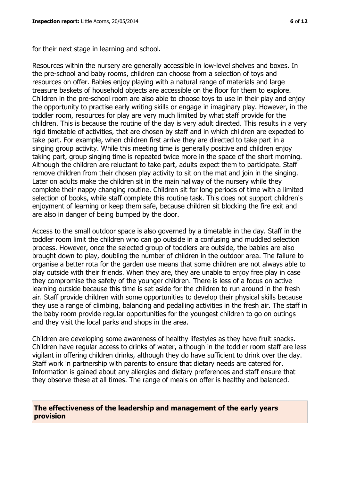for their next stage in learning and school.

Resources within the nursery are generally accessible in low-level shelves and boxes. In the pre-school and baby rooms, children can choose from a selection of toys and resources on offer. Babies enjoy playing with a natural range of materials and large treasure baskets of household objects are accessible on the floor for them to explore. Children in the pre-school room are also able to choose toys to use in their play and enjoy the opportunity to practise early writing skills or engage in imaginary play. However, in the toddler room, resources for play are very much limited by what staff provide for the children. This is because the routine of the day is very adult directed. This results in a very rigid timetable of activities, that are chosen by staff and in which children are expected to take part. For example, when children first arrive they are directed to take part in a singing group activity. While this meeting time is generally positive and children enjoy taking part, group singing time is repeated twice more in the space of the short morning. Although the children are reluctant to take part, adults expect them to participate. Staff remove children from their chosen play activity to sit on the mat and join in the singing. Later on adults make the children sit in the main hallway of the nursery while they complete their nappy changing routine. Children sit for long periods of time with a limited selection of books, while staff complete this routine task. This does not support children's enjoyment of learning or keep them safe, because children sit blocking the fire exit and are also in danger of being bumped by the door.

Access to the small outdoor space is also governed by a timetable in the day. Staff in the toddler room limit the children who can go outside in a confusing and muddled selection process. However, once the selected group of toddlers are outside, the babies are also brought down to play, doubling the number of children in the outdoor area. The failure to organise a better rota for the garden use means that some children are not always able to play outside with their friends. When they are, they are unable to enjoy free play in case they compromise the safety of the younger children. There is less of a focus on active learning outside because this time is set aside for the children to run around in the fresh air. Staff provide children with some opportunities to develop their physical skills because they use a range of climbing, balancing and pedalling activities in the fresh air. The staff in the baby room provide regular opportunities for the youngest children to go on outings and they visit the local parks and shops in the area.

Children are developing some awareness of healthy lifestyles as they have fruit snacks. Children have regular access to drinks of water, although in the toddler room staff are less vigilant in offering children drinks, although they do have sufficient to drink over the day. Staff work in partnership with parents to ensure that dietary needs are catered for. Information is gained about any allergies and dietary preferences and staff ensure that they observe these at all times. The range of meals on offer is healthy and balanced.

#### **The effectiveness of the leadership and management of the early years provision**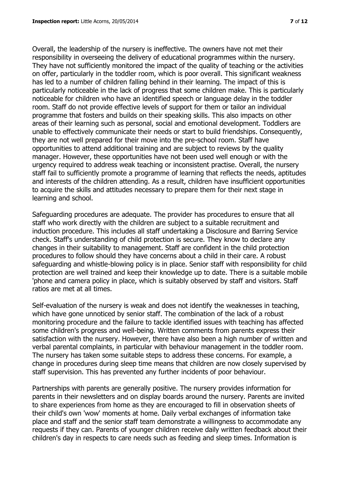Overall, the leadership of the nursery is ineffective. The owners have not met their responsibility in overseeing the delivery of educational programmes within the nursery. They have not sufficiently monitored the impact of the quality of teaching or the activities on offer, particularly in the toddler room, which is poor overall. This significant weakness has led to a number of children falling behind in their learning. The impact of this is particularly noticeable in the lack of progress that some children make. This is particularly noticeable for children who have an identified speech or language delay in the toddler room. Staff do not provide effective levels of support for them or tailor an individual programme that fosters and builds on their speaking skills. This also impacts on other areas of their learning such as personal, social and emotional development. Toddlers are unable to effectively communicate their needs or start to build friendships. Consequently, they are not well prepared for their move into the pre-school room. Staff have opportunities to attend additional training and are subject to reviews by the quality manager. However, these opportunities have not been used well enough or with the urgency required to address weak teaching or inconsistent practise. Overall, the nursery staff fail to sufficiently promote a programme of learning that reflects the needs, aptitudes and interests of the children attending. As a result, children have insufficient opportunities to acquire the skills and attitudes necessary to prepare them for their next stage in learning and school.

Safeguarding procedures are adequate. The provider has procedures to ensure that all staff who work directly with the children are subject to a suitable recruitment and induction procedure. This includes all staff undertaking a Disclosure and Barring Service check. Staff's understanding of child protection is secure. They know to declare any changes in their suitability to management. Staff are confident in the child protection procedures to follow should they have concerns about a child in their care. A robust safeguarding and whistle-blowing policy is in place. Senior staff with responsibility for child protection are well trained and keep their knowledge up to date. There is a suitable mobile 'phone and camera policy in place, which is suitably observed by staff and visitors. Staff ratios are met at all times.

Self-evaluation of the nursery is weak and does not identify the weaknesses in teaching, which have gone unnoticed by senior staff. The combination of the lack of a robust monitoring procedure and the failure to tackle identified issues with teaching has affected some children's progress and well-being. Written comments from parents express their satisfaction with the nursery. However, there have also been a high number of written and verbal parental complaints, in particular with behaviour management in the toddler room. The nursery has taken some suitable steps to address these concerns. For example, a change in procedures during sleep time means that children are now closely supervised by staff supervision. This has prevented any further incidents of poor behaviour.

Partnerships with parents are generally positive. The nursery provides information for parents in their newsletters and on display boards around the nursery. Parents are invited to share experiences from home as they are encouraged to fill in observation sheets of their child's own 'wow' moments at home. Daily verbal exchanges of information take place and staff and the senior staff team demonstrate a willingness to accommodate any requests if they can. Parents of younger children receive daily written feedback about their children's day in respects to care needs such as feeding and sleep times. Information is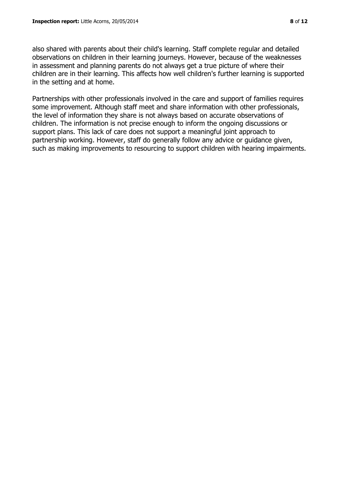also shared with parents about their child's learning. Staff complete regular and detailed observations on children in their learning journeys. However, because of the weaknesses in assessment and planning parents do not always get a true picture of where their children are in their learning. This affects how well children's further learning is supported in the setting and at home.

Partnerships with other professionals involved in the care and support of families requires some improvement. Although staff meet and share information with other professionals, the level of information they share is not always based on accurate observations of children. The information is not precise enough to inform the ongoing discussions or support plans. This lack of care does not support a meaningful joint approach to partnership working. However, staff do generally follow any advice or guidance given, such as making improvements to resourcing to support children with hearing impairments.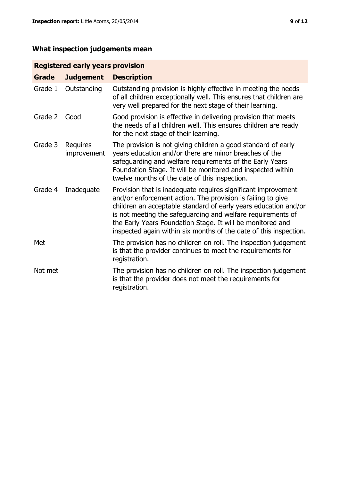### **What inspection judgements mean**

#### **Registered early years provision**

| <b>Grade</b> | <b>Judgement</b>        | <b>Description</b>                                                                                                                                                                                                                                                                                                                                                                                |
|--------------|-------------------------|---------------------------------------------------------------------------------------------------------------------------------------------------------------------------------------------------------------------------------------------------------------------------------------------------------------------------------------------------------------------------------------------------|
| Grade 1      | Outstanding             | Outstanding provision is highly effective in meeting the needs<br>of all children exceptionally well. This ensures that children are<br>very well prepared for the next stage of their learning.                                                                                                                                                                                                  |
| Grade 2      | Good                    | Good provision is effective in delivering provision that meets<br>the needs of all children well. This ensures children are ready<br>for the next stage of their learning.                                                                                                                                                                                                                        |
| Grade 3      | Requires<br>improvement | The provision is not giving children a good standard of early<br>years education and/or there are minor breaches of the<br>safeguarding and welfare requirements of the Early Years<br>Foundation Stage. It will be monitored and inspected within<br>twelve months of the date of this inspection.                                                                                               |
| Grade 4      | Inadequate              | Provision that is inadequate requires significant improvement<br>and/or enforcement action. The provision is failing to give<br>children an acceptable standard of early years education and/or<br>is not meeting the safeguarding and welfare requirements of<br>the Early Years Foundation Stage. It will be monitored and<br>inspected again within six months of the date of this inspection. |
| Met          |                         | The provision has no children on roll. The inspection judgement<br>is that the provider continues to meet the requirements for<br>registration.                                                                                                                                                                                                                                                   |
| Not met      |                         | The provision has no children on roll. The inspection judgement<br>is that the provider does not meet the requirements for<br>registration.                                                                                                                                                                                                                                                       |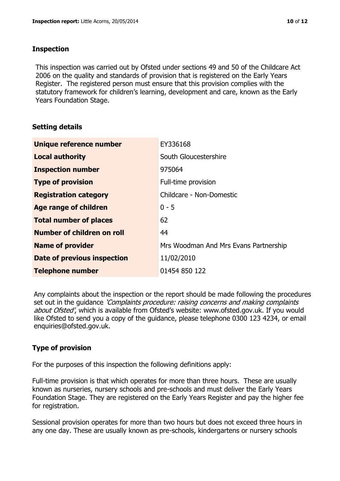#### **Inspection**

This inspection was carried out by Ofsted under sections 49 and 50 of the Childcare Act 2006 on the quality and standards of provision that is registered on the Early Years Register. The registered person must ensure that this provision complies with the statutory framework for children's learning, development and care, known as the Early Years Foundation Stage.

#### **Setting details**

| Unique reference number       | EY336168                              |
|-------------------------------|---------------------------------------|
| <b>Local authority</b>        | South Gloucestershire                 |
| <b>Inspection number</b>      | 975064                                |
| <b>Type of provision</b>      | Full-time provision                   |
| <b>Registration category</b>  | Childcare - Non-Domestic              |
| Age range of children         | $0 - 5$                               |
| <b>Total number of places</b> | 62                                    |
| Number of children on roll    | 44                                    |
| <b>Name of provider</b>       | Mrs Woodman And Mrs Evans Partnership |
| Date of previous inspection   | 11/02/2010                            |
| <b>Telephone number</b>       | 01454 850 122                         |

Any complaints about the inspection or the report should be made following the procedures set out in the guidance *'Complaints procedure: raising concerns and making complaints* about Ofsted', which is available from Ofsted's website: www.ofsted.gov.uk. If you would like Ofsted to send you a copy of the guidance, please telephone 0300 123 4234, or email enquiries@ofsted.gov.uk.

#### **Type of provision**

For the purposes of this inspection the following definitions apply:

Full-time provision is that which operates for more than three hours. These are usually known as nurseries, nursery schools and pre-schools and must deliver the Early Years Foundation Stage. They are registered on the Early Years Register and pay the higher fee for registration.

Sessional provision operates for more than two hours but does not exceed three hours in any one day. These are usually known as pre-schools, kindergartens or nursery schools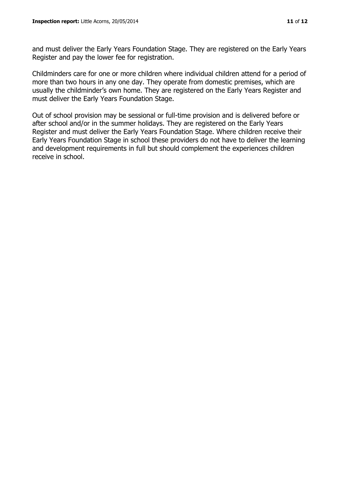and must deliver the Early Years Foundation Stage. They are registered on the Early Years Register and pay the lower fee for registration.

Childminders care for one or more children where individual children attend for a period of more than two hours in any one day. They operate from domestic premises, which are usually the childminder's own home. They are registered on the Early Years Register and must deliver the Early Years Foundation Stage.

Out of school provision may be sessional or full-time provision and is delivered before or after school and/or in the summer holidays. They are registered on the Early Years Register and must deliver the Early Years Foundation Stage. Where children receive their Early Years Foundation Stage in school these providers do not have to deliver the learning and development requirements in full but should complement the experiences children receive in school.